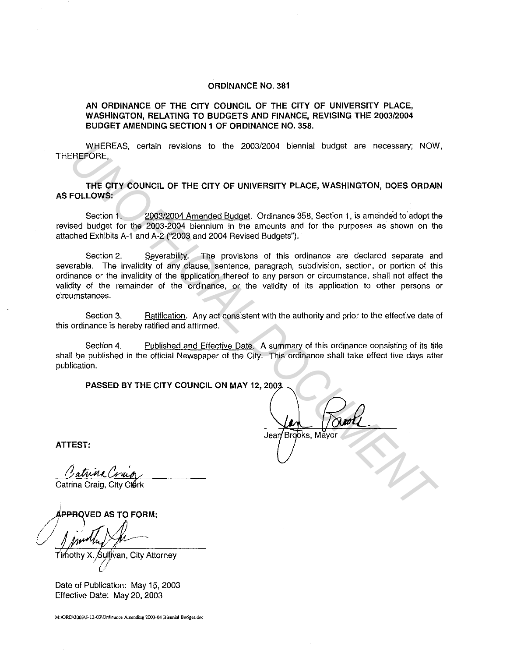## **ORDINANCE NO. 381**

## **AN ORDINANCE OF THE CITY COUNCIL OF THE CITY OF UNIVERSITY PLACE, WASHINGTON, RELATING TO BUDGETS AND FINANCE, REVISING THE 2003/2004 BUDGET AMENDING SECTION 1 OF ORDINANCE NO. 358.**

WHEREAS, certain revisions to the 2003/2004 biennial budget are necessary; NOW, THEREFORE,

**THE CITY COUNCIL OF THE CITY OF UNIVERSITY PLACE, WASHINGTON, DOES ORDAIN AS FOLLOWS:** 

Section **1.** 2003/2004 Amended Budget. Ordinance 358, Section 1, is amended to· adopt the revised budget for the 2003-2004 biennium in the amounts and for the purposes as· shown on the attached Exhibits A-1 and A-2 ("2003 and 2004 Revised Budgets").

Section 2. Severability. The provisions of this ordinance are declared separate and severable. The invalidity of any clause, sentence, paragraph, subdivision, section, or portion of this ordinance or the invalidity of the application thereof to any person or circumstance, shall not affect the validity of the remainder of the ordinance, or the validity of its application to other persons or circumstances. WHEREAS, certain revisions to the 2003/2004 biennial budget are necessary, NOW<br> **UNEFICIAL OF THE CITY OF UNIVERSITY PLACE, WASHINGTON, DOES ORDAN<br>
THE CITY COUNCIL OF THE CITY OF UNIVERSITY PLACE, WASHINGTON, DOES ORDAN<br>** 

Section 3. Ratification. Any act consistent with the authority and prior to the effective date of this ordinance is hereby ratified and affirmed.

Section 4. Published and Effective Date. A summary of this ordinance consisting of its title shall be published in the official Newspaper of the City. This ordinance shall take effect five days after publication.

**PASSED BY THE CITY COUNCIL ON MAY 12, 2003** 

**ATTEST:** 

Catrina Crain

Catrina Craig, City Clerk

~~VEDAS **TO FORM:**  */I* ··· *r7A/1J l/* lji~..J~----

Timothy X. Sullivan, City Attorney u

Date of Publication: May 15, 2003 Effective Date: May 20, 2003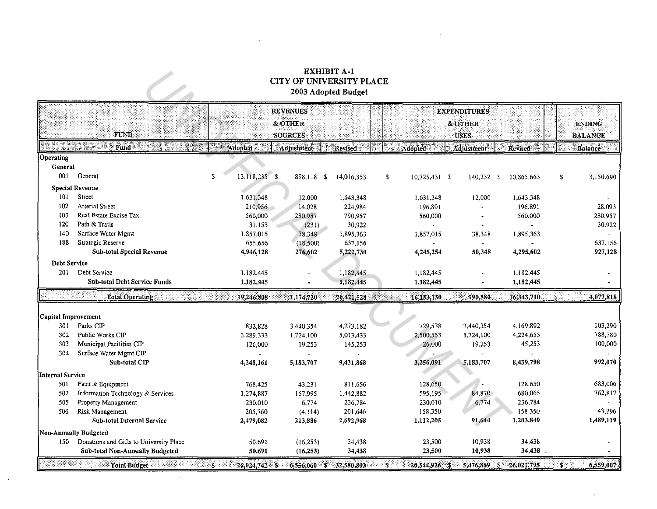## **EXHIBIT A-1<br>CITY OF UNIVERSITY PLACE** 2003 Adopted Budget

|                     |                                         |                     | <b>REVENUES</b> |                |    |               | <b>EXPENDITURES</b> |            |                 |
|---------------------|-----------------------------------------|---------------------|-----------------|----------------|----|---------------|---------------------|------------|-----------------|
|                     |                                         |                     | & OTHER         |                |    |               | & OTHER             |            | <b>ENDING</b>   |
|                     | <b>FUND</b>                             |                     | <b>SOURCES</b>  |                |    |               | <b>USES</b>         |            | <b>BALANCE</b>  |
|                     | Fund                                    | <b>Adopted</b>      | Adjustment      | <b>Revised</b> |    | Adopted       | Adjustment          | Revised    | <b>Balance</b>  |
| Operating           |                                         |                     |                 |                |    |               |                     |            |                 |
| General             |                                         |                     |                 |                |    |               |                     |            |                 |
| 001                 | General                                 | 13,118,235 \$<br>£. | 898,118 \$      | 14,016,353     | \$ | 10,725,431 \$ | $140,232$ \$        | 10,865.663 | 3,150,690<br>\$ |
|                     | <b>Special Revenue</b>                  |                     |                 |                |    |               |                     |            |                 |
| 101                 | Street                                  | 1,631,348           | 12,000          | 1,643,348      |    | 1,631.348     | 12,000              | 1,643,348  |                 |
| 102                 | <b>Arterial Street</b>                  | 210,956             | 14,028          | 224.984        |    | 196.891       |                     | 196.891    | 28,093          |
| 103                 | Real Estate Excise Tax                  | 560,000             | 230,957         | 790,957        |    | 560,000       |                     | 560,000    | 230.957         |
| 120                 | Path & Trails                           | 31.153              | (231)           | 30,922         |    |               |                     |            | 30.922          |
| 140                 | Surface Water Mgmt                      | 1,857,015           | 38,348          | 1,895 363      |    | 1,857,015     | 38,348              | 1,895.363  |                 |
| 188                 | Strategic Reserve                       | 655,656             | (18,500)        | 637,156        |    |               |                     |            | 637,156         |
|                     | Sub-total Special Revenue               | 4,946,128           | 276,602         | 5,222,730      |    | 4,245,254     | 50,348              | 4,295,602  | 927,128         |
| <b>Debt Service</b> |                                         |                     |                 |                |    |               |                     |            |                 |
| 201                 | Debt Service                            | 1,182,445           |                 | 1,182,445      |    | 1,182,445     |                     | 1,182,445  |                 |
|                     | <b>Sub-total Debt Service Funds</b>     | 1,182,445           |                 | 1,182,445      |    | 1,182,445     |                     | 1,182,445  |                 |
|                     | <b>Total Operating:</b>                 | 19,246,808          | 1,174,720       | 20,421,528     |    | 16,153,130    | 190,580             | 16,343,710 | 4,077,818       |
|                     |                                         |                     |                 |                |    |               |                     |            |                 |
| Capital Improvement |                                         |                     |                 |                |    |               |                     |            |                 |
| 301                 | Parks CIP                               | 832,828             | 3,440,354       | 4,273,182      |    | 729,538       | 3,440,354           | 4,169,892  | 103,290         |
| 302                 | Public Works CIP                        | 3,289,333           | 1,724,100       | 5,013,433      |    | 2,500,553     | 1,724,100           | 4,224.653  | 788,780         |
| 303                 | Municipal Facilities CIP                | 126,000             | 19,253          | 145,253        |    | 26,000        | 19,253              | 45,253     | 100,000         |
| 304                 | Surface Water Mgmt CIP                  |                     |                 |                |    |               |                     |            |                 |
|                     | Sub-total CIP                           | 4,248,161           | 5,183,707       | 9,431,868      |    | 3,256,091     | 5,183,707           | 8,439,798  | 992,070         |
| Internal Service    |                                         |                     |                 |                |    |               |                     |            |                 |
| 501                 | Fleet & Equipment                       | 768.425             | 43,231          | 811,656        |    | 128,650       |                     | 128,650    | 683,006         |
| 502                 | Information Technology & Services       | 1,274,887           | 167,995         | 1,442,882      |    | 595,195       | 84,870              | 680,065    | 762,817         |
| 505                 | Property Management                     | 230,010             | 6,774           | 236.784        |    | 230,010       | 6,774               | 236,784    |                 |
| 506                 | Risk Management                         | 205,760             | (4, 114)        | 201,646        |    | 158,350       |                     | 158,350    | 43.296          |
|                     | Sub-total Internal Service              | 2,479,082           | 213,886         | 2,692,968      |    | 1,112,205     | 91,644              | 1,203,849  | 1,489,119       |
|                     | Non-Annually Budgeted                   |                     |                 |                |    |               |                     |            |                 |
| -150                | Donations and Gifts to University Place | 50,691              | (16, 253)       | 34,438         |    | 23,500        | 10,938              | 34,438     |                 |
|                     | Sub-total Non-Annually Budgeted         | 50.691              | (16, 253)       | 34,438         |    | 23,500        | 10,938              | 34,438     |                 |
|                     | <b>Total Budget</b>                     | \$<br>26,024,742 \$ | $6,556,060$ \$  | 32,580,802     | S. | 20,544,926 \$ | 5,476,869 \$        | 26,021,795 | 6,559,007<br>S. |

 $\sim 10^7$